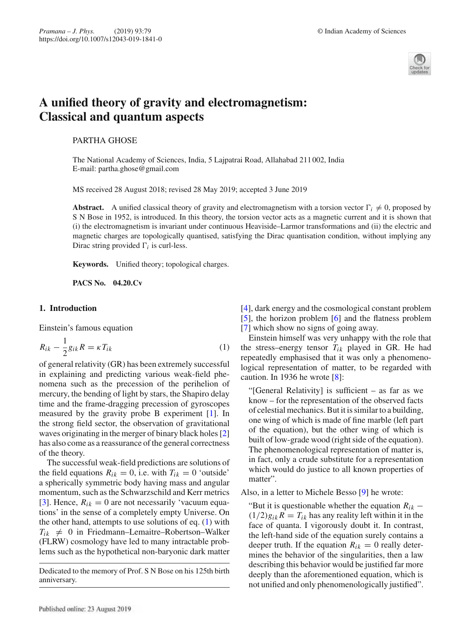

# **A unified theory of gravity and electromagnetism: Classical and quantum aspects**

# PARTHA GHOSE

The National Academy of Sciences, India, 5 Lajpatrai Road, Allahabad 211 002, India E-mail: partha.ghose@gmail.com

MS received 28 August 2018; revised 28 May 2019; accepted 3 June 2019

**Abstract.** A unified classical theory of gravity and electromagnetism with a torsion vector  $\Gamma_i \neq 0$ , proposed by S N Bose in 1952, is introduced. In this theory, the torsion vector acts as a magnetic current and it is shown that (i) the electromagnetism is invariant under continuous Heaviside–Larmor transformations and (ii) the electric and magnetic charges are topologically quantised, satisfying the Dirac quantisation condition, without implying any Dirac string provided  $\Gamma_i$  is curl-less.

**Keywords.** Unified theory; topological charges.

**PACS No. 04.20.Cv**

### **1. Introduction**

Einstein's famous equation

$$
R_{ik} - \frac{1}{2}g_{ik}R = \kappa T_{ik} \tag{1}
$$

of general relativity (GR) has been extremely successful in explaining and predicting various weak-field phenomena such as the precession of the perihelion of mercury, the bending of light by stars, the Shapiro delay time and the frame-dragging precession of gyroscopes measured by the gravity probe B experiment [1]. In the strong field sector, the observation of gravitational waves originating in the merger of binary black holes [2] has also come as a reassurance of the general correctness of the theory.

The successful weak-field predictions are solutions of the field equations  $R_{ik} = 0$ , i.e. with  $T_{ik} = 0$  'outside' a spherically symmetric body having mass and angular momentum, such as the Schwarzschild and Kerr metrics [3]. Hence,  $R_{ik} = 0$  are not necessarily 'vacuum equations' in the sense of a completely empty Universe. On the other hand, attempts to use solutions of eq. (1) with  $T_{ik} \neq 0$  in Friedmann–Lemaitre–Robertson–Walker (FLRW) cosmology have led to many intractable problems such as the hypothetical non-baryonic dark matter

Dedicated to the memory of Prof. S N Bose on his 125th birth anniversary.

[4], dark energy and the cosmological constant problem [5], the horizon problem [6] and the flatness problem [7] which show no signs of going away.

Einstein himself was very unhappy with the role that the stress–energy tensor  $T_{ik}$  played in GR. He had repeatedly emphasised that it was only a phenomenological representation of matter, to be regarded with caution. In 1936 he wrote [8]:

"[General Relativity] is sufficient – as far as we know – for the representation of the observed facts of celestial mechanics. But it is similar to a building, one wing of which is made of fine marble (left part of the equation), but the other wing of which is built of low-grade wood (right side of the equation). The phenomenological representation of matter is, in fact, only a crude substitute for a representation which would do justice to all known properties of matter".

Also, in a letter to Michele Besso [9] he wrote:

"But it is questionable whether the equation  $R_{ik}$  –  $(1/2)g_{ik}R = T_{ik}$  has any reality left within it in the face of quanta. I vigorously doubt it. In contrast, the left-hand side of the equation surely contains a deeper truth. If the equation  $R_{ik} = 0$  really determines the behavior of the singularities, then a law describing this behavior would be justified far more deeply than the aforementioned equation, which is not unified and only phenomenologically justified".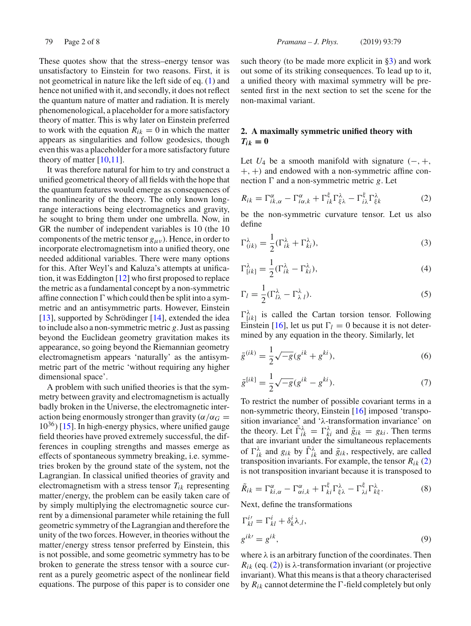These quotes show that the stress–energy tensor was unsatisfactory to Einstein for two reasons. First, it is not geometrical in nature like the left side of eq. (1) and hence not unified with it, and secondly, it does not reflect the quantum nature of matter and radiation. It is merely phenomenological, a placeholder for a more satisfactory theory of matter. This is why later on Einstein preferred to work with the equation  $R_{ik} = 0$  in which the matter appears as singularities and follow geodesics, though even this was a placeholder for a more satisfactory future theory of matter  $[10,11]$ .

It was therefore natural for him to try and construct a unified geometrical theory of all fields with the hope that the quantum features would emerge as consequences of the nonlinearity of the theory. The only known longrange interactions being electromagnetics and gravity, he sought to bring them under one umbrella. Now, in GR the number of independent variables is 10 (the 10 components of the metric tensor  $g_{\mu\nu}$ ). Hence, in order to incorporate electromagnetism into a unified theory, one needed additional variables. There were many options for this. After Weyl's and Kaluza's attempts at unification, it was Eddington [12] who first proposed to replace the metric as a fundamental concept by a non-symmetric affine connection  $\Gamma$  which could then be split into a symmetric and an antisymmetric parts. However, Einstein [13], supported by Schrödinger [14], extended the idea to include also a non-symmetric metric *g*. Just as passing beyond the Euclidean geometry gravitation makes its appearance, so going beyond the Riemannian geometry electromagnetism appears 'naturally' as the antisymmetric part of the metric 'without requiring any higher dimensional space'.

A problem with such unified theories is that the symmetry between gravity and electromagnetism is actually badly broken in the Universe, the electromagnetic interaction being enormously stronger than gravity ( $\alpha/\alpha_G =$  $10^{36}$ ) [15]. In high-energy physics, where unified gauge field theories have proved extremely successful, the differences in coupling strengths and masses emerge as effects of spontaneous symmetry breaking, i.e. symmetries broken by the ground state of the system, not the Lagrangian. In classical unified theories of gravity and electromagnetism with a stress tensor *Tik* representing matter/energy, the problem can be easily taken care of by simply multiplying the electromagnetic source current by a dimensional parameter while retaining the full geometric symmetry of the Lagrangian and therefore the unity of the two forces. However, in theories without the matter/energy stress tensor preferred by Einstein, this is not possible, and some geometric symmetry has to be broken to generate the stress tensor with a source current as a purely geometric aspect of the nonlinear field equations. The purpose of this paper is to consider one such theory (to be made more explicit in  $\S3$ ) and work out some of its striking consequences. To lead up to it, a unified theory with maximal symmetry will be presented first in the next section to set the scene for the non-maximal variant.

# **2. A maximally symmetric unified theory with**  $T_{ik} = 0$

Let  $U_4$  be a smooth manifold with signature  $(-, +, +)$  $+, +$ ) and endowed with a non-symmetric affine connection  $\Gamma$  and a non-symmetric metric g. Let

$$
R_{ik} = \Gamma^{\alpha}_{ik,\alpha} - \Gamma^{\alpha}_{i\alpha,k} + \Gamma^{\xi}_{ik}\Gamma^{\lambda}_{\xi\lambda} - \Gamma^{\xi}_{i\lambda}\Gamma^{\lambda}_{\xi k}
$$
 (2)

be the non-symmetric curvature tensor. Let us also define

$$
\Gamma^{\lambda}_{(ik)} = \frac{1}{2} (\Gamma^{\lambda}_{ik} + \Gamma^{\lambda}_{ki}),
$$
\n(3)

$$
\Gamma^{\lambda}_{[ik]} = \frac{1}{2} (\Gamma^{\lambda}_{ik} - \Gamma^{\lambda}_{ki}),
$$
\n(4)

$$
\Gamma_l = \frac{1}{2} (\Gamma_{l\lambda}^{\lambda} - \Gamma_{\lambda l}^{\lambda}).
$$
\n(5)

 $\Gamma^{\lambda}_{[ik]}$  is called the Cartan torsion tensor. Following Einstein [16], let us put  $\Gamma_l = 0$  because it is not determined by any equation in the theory. Similarly, let

$$
\bar{g}^{(ik)} = \frac{1}{2}\sqrt{-g}(g^{ik} + g^{ki}),\tag{6}
$$

$$
\bar{g}^{[ik]} = \frac{1}{2}\sqrt{-g}(g^{ik} - g^{ki}).
$$
\n(7)

To restrict the number of possible covariant terms in a non-symmetric theory, Einstein [16] imposed 'transposition invariance' and 'λ-transformation invariance' on the theory. Let  $\tilde{\Gamma}_{ik}^{\lambda} = \Gamma_{ki}^{\lambda}$  and  $\tilde{g}_{ik} = g_{ki}$ . Then terms that are invariant under the simultaneous replacements of  $\Gamma_{ik}^{\lambda}$  and  $g_{ik}$  by  $\tilde{\Gamma}_{ik}^{\lambda}$  and  $\tilde{g}_{ik}$ , respectively, are called transposition invariants. For example, the tensor  $R_{ik}$  (2) is not transposition invariant because it is transposed to

$$
\tilde{R}_{ik} = \Gamma^{\alpha}_{ki,\alpha} - \Gamma^{\alpha}_{\alpha i,k} + \Gamma^{\xi}_{ki} \Gamma^{\lambda}_{\xi\lambda} - \Gamma^{\xi}_{\lambda i} \Gamma^{\lambda}_{k\xi}.
$$
 (8)

Next, define the transformations

$$
\Gamma_{kl}^{i'} = \Gamma_{kl}^i + \delta_k^i \lambda_{,l},
$$
  
\n
$$
g^{ik'} = g^{ik},
$$
\n(9)

where  $\lambda$  is an arbitrary function of the coordinates. Then  $R_{ik}$  (eq. (2)) is  $\lambda$ -transformation invariant (or projective invariant). What this means is that a theory characterised by  $R_{ik}$  cannot determine the  $\Gamma$ -field completely but only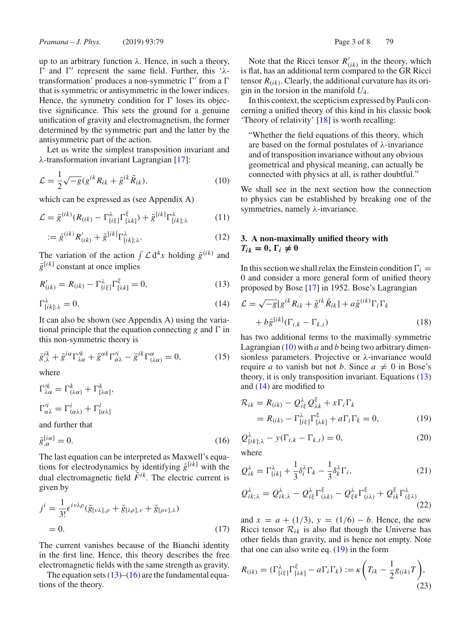up to an arbitrary function  $\lambda$ . Hence, in such a theory,  $\Gamma$  and  $\Gamma'$  represent the same field. Further, this ' $\lambda$ transformation' produces a non-symmetric  $\Gamma'$  from a  $\Gamma$ that is symmetric or antisymmetric in the lower indices. Hence, the symmetry condition for  $\Gamma$  loses its objective significance. This sets the ground for a genuine unification of gravity and electromagnetism, the former determined by the symmetric part and the latter by the antisymmetric part of the action.

Let us write the simplest transposition invariant and λ-transformation invariant Lagrangian [17]:

$$
\mathcal{L} = \frac{1}{2}\sqrt{-g}(g^{ik}R_{ik} + \tilde{g}^{ik}\tilde{R}_{ik}),
$$
\n(10)

which can be expressed as (see Appendix A)

$$
\mathcal{L} = \bar{g}^{(ik)}(R_{(ik)} - \Gamma^{\lambda}_{[i\xi]}\Gamma^{\xi}_{[\lambda k]}) + \bar{g}^{[ik]}\Gamma^{\lambda}_{[ik];\lambda}
$$
(11)

$$
:= \bar{g}^{(ik)} R'_{(ik)} + \bar{g}^{[ik]} \Gamma^{\lambda}_{[ik];\lambda}.
$$
 (12)

The variation of the action  $\int \mathcal{L} d^4x$  holding  $\bar{g}^{(ik)}$  and  $\bar{g}^{[ik]}$  constant at once implies

$$
R'_{(ik)} = R_{(ik)} - \Gamma^{\lambda}_{[ik]} \Gamma^{\xi}_{[\lambda k]} = 0, \qquad (13)
$$

$$
\Gamma^{\lambda}_{[ik];\lambda} = 0. \tag{14}
$$

It can also be shown (see Appendix A) using the variational principle that the equation connecting  $g$  and  $\Gamma$  in this non-symmetric theory is

$$
\bar{g}^{ik}_{,\lambda} + \bar{g}^{i\alpha} \Gamma^{\prime k}_{\lambda\alpha} + \bar{g}^{\alpha k} \Gamma^{\prime i}_{\alpha\lambda} - \bar{g}^{ik} \Gamma^{\alpha}_{(\lambda\alpha)} = 0, \qquad (15)
$$

where

$$
\Gamma_{\lambda\alpha}^{ik} = \Gamma_{(\lambda\alpha)}^{k} + \Gamma_{[\lambda\alpha]}^{k},
$$
  
\n
$$
\Gamma_{\alpha\lambda}^{ij} = \Gamma_{(\alpha\lambda)}^{i} + \Gamma_{[\alpha\lambda]}^{i}
$$
  
\nand further that

and further that

$$
\bar{g}_{,\alpha}^{[i\alpha]} = 0. \tag{16}
$$

The last equation can be interpreted as Maxwell's equations for electrodynamics by identifying  $\bar{g}^{[ik]}$  with the dual electromagnetic field  $\tilde{F}^{ik}$ . The electric current is given by

$$
j^{i} = \frac{1}{3!} \epsilon^{i\nu\lambda\rho} (\bar{g}_{\lbrack\nu\lambda\rbrack,\rho} + \bar{g}_{\lbrack\lambda\rho\rbrack,\nu} + \bar{g}_{\lbrack\rho\nu\rbrack,\lambda})
$$
  
= 0. (17)

The current vanishes because of the Bianchi identity in the first line. Hence, this theory describes the free electromagnetic fields with the same strength as gravity.

The equation sets  $(13)$ – $(16)$  are the fundamental equations of the theory.

Note that the Ricci tensor  $R'_{(ik)}$  in the theory, which is flat, has an additional term compared to the GR Ricci tensor  $R(i_k)$ . Clearly, the additional curvature has its origin in the torsion in the manifold *U*4.

In this context, the scepticism expressed by Pauli concerning a unified theory of this kind in his classic book 'Theory of relativity' [18] is worth recalling:

"Whether the field equations of this theory, which are based on the formal postulates of  $\lambda$ -invariance and of transposition invariance without any obvious geometrical and physical meaning, can actually be connected with physics at all, is rather doubtful."

We shall see in the next section how the connection to physics can be established by breaking one of the symmetries, namely λ-invariance.

# **3. A non-maximally unified theory with**  $T_{ik} = 0, \Gamma_i \neq 0$

In this section we shall relax the Einstein condition  $\Gamma_i$  = 0 and consider a more general form of unified theory proposed by Bose [17] in 1952. Bose's Lagrangian

$$
\mathcal{L} = \sqrt{-g} [g^{ik} R_{ik} + \tilde{g}^{ik} \tilde{R}_{ik}] + a \bar{g}^{(ik)} \Gamma_i \Gamma_k
$$
  
+  $b \bar{g}^{[ik]} (\Gamma_{i,k} - \Gamma_{k,i})$  (18)

has two additional terms to the maximally symmetric Lagrangian (10) with *a* and *b* being two arbitrary dimensionless parameters. Projective or  $\lambda$ -invariance would require *a* to vanish but not *b*. Since  $a \neq 0$  in Bose's theory, it is only transposition invariant. Equations (13) and (14) are modified to

$$
\mathcal{R}_{ik} = R_{(ik)} - Q_{i\xi}^{\lambda} Q_{\lambda k}^{\xi} + x \Gamma_i \Gamma_k
$$
  
=  $R_{(ik)} - \Gamma_{[i\xi]}^{\lambda} \Gamma_{[\lambda k]}^{\xi} + a \Gamma_i \Gamma_k = 0,$  (19)

$$
Q_{[ik];\lambda}^{\lambda} - y(\Gamma_{i,k} - \Gamma_{k,i}) = 0,
$$
\n(20)

where

$$
Q_{ik}^{\lambda} = \Gamma_{[ik]}^{\lambda} + \frac{1}{3} \delta_i^{\lambda} \Gamma_k - \frac{1}{3} \delta_k^{\lambda} \Gamma_i,
$$
 (21)

$$
Q_{ik;\lambda}^{\lambda} = Q_{ik,\lambda}^{\lambda} - Q_{ik}^{\lambda} \Gamma_{(\lambda k)}^{\xi} - Q_{\xi k}^{\lambda} \Gamma_{(i\lambda)}^{\xi} + Q_{ik}^{\xi} \Gamma_{(\xi\lambda)}^{\lambda}
$$
\n(22)

and  $x = a + (1/3)$ ,  $y = (1/6) - b$ . Hence, the new Ricci tensor  $\mathcal{R}_{ik}$  is also flat though the Universe has other fields than gravity, and is hence not empty. Note that one can also write eq. (19) in the form

$$
R_{(ik)} = (\Gamma^{\lambda}_{[i\xi]}\Gamma^{\xi}_{[\lambda k]} - a\Gamma_i\Gamma_k) := \kappa \left(T_{ik} - \frac{1}{2}g_{(ik)}T\right),\tag{23}
$$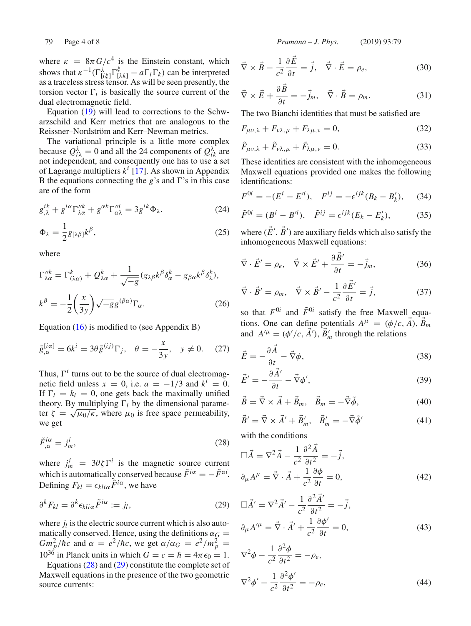where  $\kappa = 8\pi G/c^4$  is the Einstein constant, which shows that  $\kappa^{-1}(\Gamma_{[i\xi]}^{\lambda}\Gamma_{[\lambda k]}^{\xi} - a\Gamma_{i}\Gamma_{k})$  can be interpreted as a traceless stress tensor. As will be seen presently, the torsion vector  $\Gamma_i$  is basically the source current of the dual electromagnetic field.

Equation (19) will lead to corrections to the Schwarzschild and Kerr metrics that are analogous to the Reissner–Nordström and Kerr–Newman metrics.

The variational principle is a little more complex because  $Q_{i\lambda}^{\lambda} = 0$  and all the 24 components of  $Q_{ik}^{\lambda}$  are not independent, and consequently one has to use a set of Lagrange multipliers *k<sup>i</sup>* [17]. As shown in Appendix B the equations connecting the  $g$ 's and  $\Gamma$ 's in this case are of the form

$$
g^{ik}_{,\lambda} + g^{i\alpha} \Gamma_{\lambda\alpha}^{\prime\prime k} + g^{\alpha k} \Gamma_{\alpha\lambda}^{\prime\prime i} = 3 g^{ik} \Phi_{\lambda},\tag{24}
$$

$$
\Phi_{\lambda} = \frac{1}{2} g_{[\lambda \beta]} k^{\beta},\tag{25}
$$

where

$$
\Gamma_{\lambda\alpha}^{\prime\prime k} = \Gamma_{(\lambda\alpha)}^k + Q_{\lambda\alpha}^k + \frac{1}{\sqrt{-g}} (g_{\lambda\beta} k^{\beta} \delta_{\alpha}^k - g_{\beta\alpha} k^{\beta} \delta_{\lambda}^k),
$$
  

$$
k^{\beta} = -\frac{1}{2} \left(\frac{x}{3y}\right) \sqrt{-g} g^{(\beta\alpha)} \Gamma_{\alpha}.
$$
 (26)

Equation (16) is modified to (see Appendix B)

$$
\bar{g}_{,\alpha}^{[i\alpha]} = 6k^i = 3\theta \bar{g}^{(ij)}\Gamma_j, \quad \theta = -\frac{x}{3y}, \quad y \neq 0. \tag{27}
$$

Thus,  $\Gamma^i$  turns out to be the source of dual electromagnetic field unless  $x = 0$ , i.e.  $a = -1/3$  and  $k^i = 0$ . If  $\Gamma_l = k_l = 0$ , one gets back the maximally unified theory. By multiplying  $\Gamma_i$  by the dimensional parameter  $\zeta = \sqrt{\mu_0/\kappa}$ , where  $\mu_0$  is free space permeability, we get

$$
\tilde{F}^{i\alpha}_{,\alpha} = j^i_m,\tag{28}
$$

where  $j_m^i = 3\theta \zeta \Gamma^i$  is the magnetic source current which is automatically conserved because  $\tilde{F}^{i\alpha} = -\tilde{F}^{\alpha i}$ . Defining  $F_{kl} = \epsilon_{kli\alpha} \tilde{F}^{i\alpha}$ , we have

$$
\partial^k F_{kl} = \partial^k \epsilon_{kli\alpha} \tilde{F}^{i\alpha} := j_l,
$$
\n(29)

where  $j_l$  is the electric source current which is also automatically conserved. Hence, using the definitions  $\alpha_G =$ *Gm*<sup>2</sup><sub>*p*</sub>/*hc* and  $\alpha = e^2/\hbar c$ , we get  $\alpha/\alpha_G = e^2/m_p^2$  =  $10^{36}$  in Planck units in which  $G = c = \hbar = 4\pi\epsilon_0 = 1$ .

Equations (28) and (29) constitute the complete set of Maxwell equations in the presence of the two geometric source currents:

79 Page 4 of 8 *Pramana – J. Phys.* (2019) 93:79

$$
\vec{\nabla} \times \vec{B} - \frac{1}{c^2} \frac{\partial \vec{E}}{\partial t} = \vec{j}, \quad \vec{\nabla} \cdot \vec{E} = \rho_e,
$$
 (30)

$$
\vec{\nabla} \times \vec{E} + \frac{\partial B}{\partial t} = -\vec{j}_m, \quad \vec{\nabla} \cdot \vec{B} = \rho_m.
$$
 (31)

The two Bianchi identities that must be satisfied are

$$
F_{\mu\nu,\lambda} + F_{\nu\lambda,\mu} + F_{\lambda\mu,\nu} = 0,\tag{32}
$$

$$
\tilde{F}_{\mu\nu,\lambda} + \tilde{F}_{\nu\lambda,\mu} + \tilde{F}_{\lambda\mu,\nu} = 0.
$$
\n(33)

These identities are consistent with the inhomogeneous Maxwell equations provided one makes the following identifications:

$$
F^{0i} = -(E^i - E'^i), \quad F^{ij} = -\epsilon^{ijk}(B_k - B'_k), \tag{34}
$$

$$
\tilde{F}^{0i} = (B^i - B'^i), \quad \tilde{F}^{ij} = \epsilon^{ijk} (E_k - E'_k),
$$
\n(35)

where  $(E', B')$  are auxiliary fields which also satisfy the inhomogeneous Maxwell equations:

$$
\vec{\nabla} \cdot \vec{E}' = \rho_e, \quad \vec{\nabla} \times \vec{E}' + \frac{\partial \vec{B}'}{\partial t} = -\vec{j}_m,
$$
 (36)

$$
\vec{\nabla} \cdot \vec{B}' = \rho_m, \quad \vec{\nabla} \times \vec{B}' - \frac{1}{c^2} \frac{\partial E'}{\partial t} = \vec{j}, \tag{37}
$$

so that  $F^{0i}$  and  $\tilde{F}^{0i}$  satisfy the free Maxwell equations. One can define potentials  $A^{\mu} = (\phi/c, \vec{A}), \vec{B}_m$ and  $A^{\prime \mu} = (\phi^{\prime}/c, \vec{A}^{\prime}), \vec{B}^{\prime}_m$  through the relations

$$
\vec{E} = -\frac{\partial \vec{A}}{\partial t} - \vec{\nabla}\phi,\tag{38}
$$

$$
\vec{E}' = -\frac{\partial A'}{\partial t} - \vec{\nabla}\phi',\tag{39}
$$

$$
\vec{B} = \vec{\nabla} \times \vec{A} + \vec{B}_m, \quad \vec{B}_m = -\vec{\nabla}\tilde{\phi}, \tag{40}
$$

$$
\vec{B}' = \vec{\nabla} \times \vec{A}' + \vec{B}'_m, \quad \vec{B}'_m = -\vec{\nabla}\tilde{\phi}' \tag{41}
$$

with the conditions

$$
\Box \vec{A} = \nabla^2 \vec{A} - \frac{1}{c^2} \frac{\partial^2 \vec{A}}{\partial t^2} = -\vec{j},
$$
  
\n
$$
\partial_{\mu} A^{\mu} = \vec{\nabla} \cdot \vec{A} + \frac{1}{c^2} \frac{\partial \phi}{\partial t} = 0,
$$
\n(42)

$$
\Box \vec{A}' = \nabla^2 \vec{A}' - \frac{1}{c^2} \frac{\partial^2 \vec{A}'}{\partial t^2} = -\vec{j},
$$
  

$$
\partial_{\mu} A'^{\mu} = \vec{\nabla} \cdot \vec{A}' + \frac{1}{c^2} \frac{\partial \phi'}{\partial t} = 0,
$$
 (43)

$$
\nabla^2 \phi - \frac{1}{c^2} \frac{\partial^2 \phi}{\partial t^2} = -\rho_e,
$$
  

$$
\nabla^2 \phi' - \frac{1}{c^2} \frac{\partial^2 \phi'}{\partial t^2} = -\rho_e,
$$
 (44)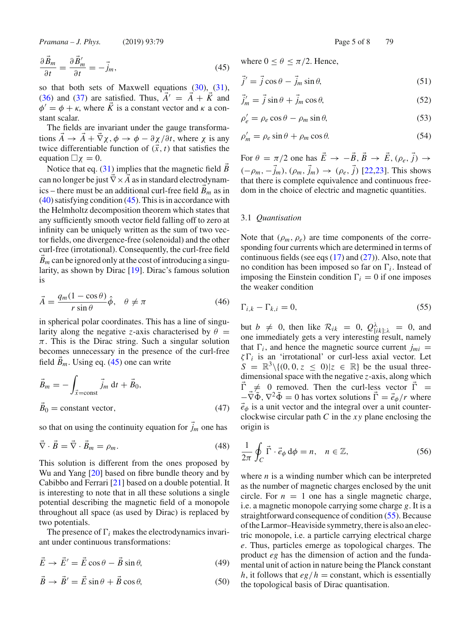*Pramana – J. Phys.* (2019) 93:79 Page 5 of 8 79

$$
\frac{\partial \vec{B}_m}{\partial t} = \frac{\partial \vec{B}'_m}{\partial t} = -\vec{j}_m,\tag{45}
$$

so that both sets of Maxwell equations  $(30)$ ,  $(31)$ , (36) and (37) are satisfied. Thus,  $\vec{A}' = \vec{A} + \vec{K}$  and  $\phi' = \phi + \kappa$ , where  $\vec{K}$  is a constant vector and  $\kappa$  a constant scalar.

The fields are invariant under the gauge transformations  $\vec{A} \rightarrow \vec{A} + \vec{\nabla}\chi$ ,  $\phi \rightarrow \phi - \partial \chi/\partial t$ , where  $\chi$  is any twice differentiable function of  $(\vec{x}, t)$  that satisfies the equation  $\Box \chi = 0$ .

Notice that eq. (31) implies that the magnetic field *B* can no longer be just ∇× *A* as in standard electrodynamics – there must be an additional curl-free field  $\vec{B}_m$  as in  $(40)$  satisfying condition  $(45)$ . This is in accordance with the Helmholtz decomposition theorem which states that any sufficiently smooth vector field falling off to zero at infinity can be uniquely written as the sum of two vector fields, one divergence-free (solenoidal) and the other curl-free (irrotational). Consequently, the curl-free field  $B_m$  can be ignored only at the cost of introducing a singularity, as shown by Dirac [19]. Dirac's famous solution is

$$
\vec{A} = \frac{q_m(1 - \cos \theta)}{r \sin \theta} \hat{\phi}, \quad \theta \neq \pi \tag{46}
$$

in spherical polar coordinates. This has a line of singularity along the negative *z*-axis characterised by  $\theta$  =  $\pi$ . This is the Dirac string. Such a singular solution becomes unnecessary in the presence of the curl-free field  $B_m$ . Using eq. (45) one can write

$$
\vec{B}_m = -\int_{\vec{x}=\text{const}} \vec{j}_m \, dt + \vec{B}_0,
$$
  

$$
\vec{B}_0 = \text{constant vector},
$$
 (47)

so that on using the continuity equation for  $\vec{j}_m$  one has

$$
\vec{\nabla} \cdot \vec{B} = \vec{\nabla} \cdot \vec{B}_m = \rho_m. \tag{48}
$$

This solution is different from the ones proposed by Wu and Yang [20] based on fibre bundle theory and by Cabibbo and Ferrari [21] based on a double potential. It is interesting to note that in all these solutions a single potential describing the magnetic field of a monopole throughout all space (as used by Dirac) is replaced by two potentials.

The presence of  $\Gamma_i$  makes the electrodynamics invariant under continuous transformations:

$$
\vec{E} \to \vec{E}' = \vec{E} \cos \theta - \vec{B} \sin \theta, \tag{49}
$$

$$
\ddot{B} \to \dot{B}' = \dot{E}\sin\theta + \dot{B}\cos\theta,\tag{50}
$$

where  $0 \le \theta \le \pi/2$ . Hence,

$$
\vec{j}' = \vec{j}\cos\theta - \vec{j}_m\sin\theta,\tag{51}
$$

$$
\vec{j}'_m = \vec{j} \sin \theta + \vec{j}_m \cos \theta,\tag{52}
$$

$$
\rho'_e = \rho_e \cos \theta - \rho_m \sin \theta,\tag{53}
$$

$$
\rho'_m = \rho_e \sin \theta + \rho_m \cos \theta. \tag{54}
$$

For  $\theta = \pi/2$  one has  $\vec{E} \rightarrow -\vec{B}, \vec{B} \rightarrow \vec{E}, (\rho_e, \vec{j}) \rightarrow$  $(-\rho_m, -\vec{j}_m), (\rho_m, \vec{j}_m)$  →  $(\rho_e, \vec{j})$  [22,23]. This shows that there is complete equivalence and continuous freedom in the choice of electric and magnetic quantities.

#### 3.1 *Quantisation*

Note that  $(\rho_m, \rho_e)$  are time components of the corresponding four currents which are determined in terms of continuous fields (see eqs  $(17)$  and  $(27)$ ). Also, note that no condition has been imposed so far on  $\Gamma_i$ . Instead of imposing the Einstein condition  $\Gamma_i = 0$  if one imposes the weaker condition

$$
\Gamma_{i,k} - \Gamma_{k,i} = 0,\tag{55}
$$

but  $b \neq 0$ , then like  $\mathcal{R}_{ik} = 0$ ,  $Q_{[ik];\lambda}^{\lambda} = 0$ , and one immediately gets a very interesting result, namely that  $\Gamma_i$ , and hence the magnetic source current  $j_{mi}$  =  $\zeta \Gamma_i$  is an 'irrotational' or curl-less axial vector. Let  $S = \mathbb{R}^3 \setminus \{(0, 0, z \leq 0)|z \in \mathbb{R}\}\$ be the usual threedimensional space with the negative *z*-axis, along which  $\Gamma \neq 0$  removed. Then the curl-less vector  $\Gamma =$  $-\vec{\nabla}\tilde{\Phi}$ ,  $\nabla^2\tilde{\Phi} = 0$  has vortex solutions  $\vec{\Gamma} = \vec{e}_{\phi}/r$  where  $\vec{e}_{\phi}$  is a unit vector and the integral over a unit counterclockwise circular path *C* in the *x y* plane enclosing the origin is

$$
\frac{1}{2\pi} \oint_C \vec{\Gamma} \cdot \vec{e}_{\phi} d\phi = n, \quad n \in \mathbb{Z},
$$
 (56)

where *n* is a winding number which can be interpreted as the number of magnetic charges enclosed by the unit circle. For  $n = 1$  one has a single magnetic charge, i.e. a magnetic monopole carrying some charge *g*. It is a straightforward consequence of condition (55). Because of the Larmor–Heaviside symmetry, there is also an electric monopole, i.e. a particle carrying electrical charge *e*. Thus, particles emerge as topological charges. The product *eg* has the dimension of action and the fundamental unit of action in nature being the Planck constant *h*, it follows that  $eg/h = \text{constant}$ , which is essentially the topological basis of Dirac quantisation.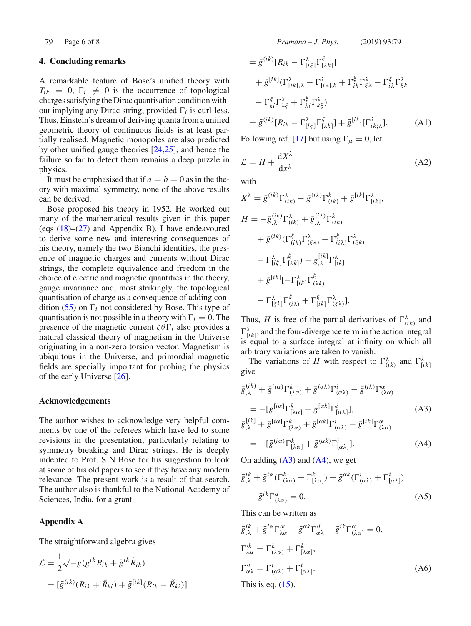# **4. Concluding remarks**

A remarkable feature of Bose's unified theory with  $T_{ik} = 0$ ,  $\Gamma_i \neq 0$  is the occurrence of topological charges satisfying the Dirac quantisation condition without implying any Dirac string, provided  $\Gamma_i$  is curl-less. Thus, Einstein's dream of deriving quanta from a unified geometric theory of continuous fields is at least partially realised. Magnetic monopoles are also predicted by other unified gauge theories [24,25], and hence the failure so far to detect them remains a deep puzzle in physics.

It must be emphasised that if  $a = b = 0$  as in the theory with maximal symmetry, none of the above results can be derived.

Bose proposed his theory in 1952. He worked out many of the mathematical results given in this paper (eqs  $(18)$ – $(27)$  and Appendix B). I have endeavoured to derive some new and interesting consequences of his theory, namely the two Bianchi identities, the presence of magnetic charges and currents without Dirac strings, the complete equivalence and freedom in the choice of electric and magnetic quantities in the theory, gauge invariance and, most strikingly, the topological quantisation of charge as a consequence of adding condition (55) on  $\Gamma_i$  not considered by Bose. This type of quantisation is not possible in a theory with  $\Gamma_i = 0$ . The presence of the magnetic current  $\zeta \theta \Gamma_i$  also provides a natural classical theory of magnetism in the Universe originating in a non-zero torsion vector. Magnetism is ubiquitous in the Universe, and primordial magnetic fields are specially important for probing the physics of the early Universe [26].

# **Acknowledgements**

The author wishes to acknowledge very helpful comments by one of the referees which have led to some revisions in the presentation, particularly relating to symmetry breaking and Dirac strings. He is deeply indebted to Prof. S N Bose for his suggestion to look at some of his old papers to see if they have any modern relevance. The present work is a result of that search. The author also is thankful to the National Academy of Sciences, India, for a grant.

# **Appendix A**

The straightforward algebra gives

$$
\mathcal{L} = \frac{1}{2} \sqrt{-g} (g^{ik} R_{ik} + \tilde{g}^{ik} \tilde{R}_{ik})
$$

$$
= [\bar{g}^{(ik)} (R_{ik} + \tilde{R}_{ki}) + \bar{g}^{[ik]} (R_{ik} - \tilde{R}_{ki})]
$$

$$
= \bar{g}^{(ik)}[R_{ik} - \Gamma^{\lambda}_{[i\xi]} \Gamma^{\xi}_{[\lambda k]}]
$$
  
+  $\bar{g}^{[ik]}(\Gamma^{\lambda}_{[ik],\lambda} - \Gamma^{\lambda}_{[i\lambda],k} + \Gamma^{\xi}_{ik} \Gamma^{\lambda}_{\xi\lambda} - \Gamma^{\xi}_{i\lambda} \Gamma^{\lambda}_{\xi k}$   
-  $\Gamma^{\xi}_{ki} \Gamma^{\lambda}_{\lambda\xi} + \Gamma^{\xi}_{\lambda i} \Gamma^{\lambda}_{k\xi}$   
=  $\bar{g}^{(ik)}[R_{ik} - \Gamma^{\lambda}_{[i\xi]} \Gamma^{\xi}_{[\lambda k]}] + \bar{g}^{[ik]}[\Gamma^{\lambda}_{ik;\lambda}].$  (A1)

Following ref. [17] but using  $\Gamma_{\mu} = 0$ , let

$$
\mathcal{L} = H + \frac{dX^{\lambda}}{dx^{\lambda}}
$$
 (A2)

with

(*ik*)

$$
X^{\lambda} = \bar{g}^{(ik)} \Gamma^{\lambda}_{(ik)} - \bar{g}^{(ik)} \Gamma^k_{(ik)} + \bar{g}^{[ik]} \Gamma^{\lambda}_{[ik]},
$$
  
\n
$$
H = -\bar{g}^{(ik)}_{,\lambda} \Gamma^{\lambda}_{(ik)} + \bar{g}^{(i\lambda)}_{,\lambda} \Gamma^k_{(ik)}
$$
  
\n
$$
+ \bar{g}^{(ik)} (\Gamma^{\xi}_{(ik)} \Gamma^{\lambda}_{(\xi\lambda)} - \Gamma^{\xi}_{(i\lambda)} \Gamma^{\lambda}_{(\xi k)}
$$
  
\n
$$
- \Gamma^{\lambda}_{[i\xi]} \Gamma^{\xi}_{[\lambda k]}) - \bar{g}^{[ik]}_{,\lambda} \Gamma^{\lambda}_{[ik]}
$$
  
\n
$$
+ \bar{g}^{[ik]} [-\Gamma^{\lambda}_{[i\xi]} \Gamma^{\xi}_{(\lambda k)}
$$
  
\n
$$
- \Gamma^{\lambda}_{[i\xi]} \Gamma^{\xi}_{(i\lambda)} + \Gamma^{\xi}_{[ik]} \Gamma^{\lambda}_{(\xi\lambda)}].
$$

Thus, *H* is free of the partial derivatives of  $\Gamma^{\lambda}_{(ik)}$  and  $\Gamma_{[ik]}^{\lambda}$ , and the four-divergence term in the action integral is equal to a surface integral at infinity on which all arbitrary variations are taken to vanish.

The variations of *H* with respect to  $\Gamma^{\lambda}_{(ik)}$  and  $\Gamma^{\lambda}_{[ik]}$ give

$$
\bar{g}^{(ik)}_{,\lambda} + \bar{g}^{(i\alpha)}\Gamma^k_{(\lambda\alpha)} + \bar{g}^{(\alpha k)}\Gamma^i_{(\alpha\lambda)} - \bar{g}^{(ik)}\Gamma^{\alpha}_{(\lambda\alpha)}
$$
\n
$$
= -[\bar{g}^{[i\alpha]}\Gamma^k_{[\lambda\alpha]} + \bar{g}^{[\alpha k]}\Gamma^i_{[\alpha\lambda]}],
$$
\n
$$
\bar{g}^{[ik]}_{,\lambda} + \bar{g}^{[i\alpha]}\Gamma^k_{(\lambda\alpha)} + \bar{g}^{[\alpha k]}\Gamma^i_{(\alpha\lambda)} - \bar{g}^{[ik]}\Gamma^{\alpha}_{(\lambda\alpha)}
$$
\n
$$
= -[\bar{g}^{(i\alpha)}\Gamma^k_{[\lambda\alpha]} + \bar{g}^{(\alpha k)}\Gamma^i_{[\alpha\lambda]}].
$$
\n(A4)

On adding  $(A3)$  and  $(A4)$ , we get

$$
\begin{split} \bar{g}^{ik}_{,\lambda} + \bar{g}^{i\alpha} (\Gamma^k_{(\lambda\alpha)} + \Gamma^k_{[\lambda\alpha]}) + \bar{g}^{\alpha k} (\Gamma^i_{(\alpha\lambda)} + \Gamma^i_{[\alpha\lambda]}) \\ &- \bar{g}^{ik} \Gamma^{\alpha}_{(\lambda\alpha)} = 0. \end{split} \tag{A5}
$$

This can be written as

$$
\bar{g}^{ik}_{,\lambda} + \bar{g}^{i\alpha} \Gamma'^{k}_{\lambda\alpha} + \bar{g}^{\alpha k} \Gamma'^{i}_{\alpha\lambda} - \bar{g}^{ik} \Gamma^{\alpha}_{(\lambda\alpha)} = 0,
$$
  
\n
$$
\Gamma'^{k}_{\lambda\alpha} = \Gamma^{k}_{(\lambda\alpha)} + \Gamma^{k}_{[\lambda\alpha]},
$$
  
\n
$$
\Gamma'^{i}_{\alpha\lambda} = \Gamma^{i}_{(\alpha\lambda)} + \Gamma^{i}_{[\alpha\lambda]}.
$$
  
\nThis is eq. (15).  
\n(A6)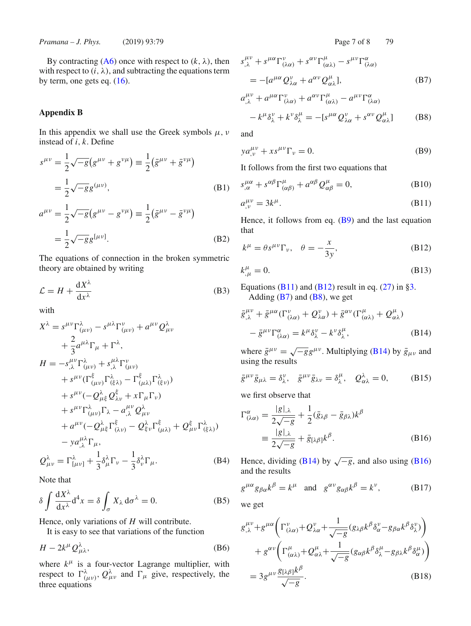By contracting  $(A6)$  once with respect to  $(k, \lambda)$ , then with respect to  $(i, \lambda)$ , and subtracting the equations term by term, one gets eq.  $(16)$ .

# **Appendix B**

In this appendix we shall use the Greek symbols  $\mu$ ,  $\nu$ instead of *i*, *k*. Define

$$
s^{\mu\nu} = \frac{1}{2}\sqrt{-g}(g^{\mu\nu} + g^{\nu\mu}) \equiv \frac{1}{2}(\bar{g}^{\mu\nu} + \bar{g}^{\nu\mu})
$$
  
\n
$$
= \frac{1}{2}\sqrt{-g}g^{(\mu\nu)},
$$
  
\n
$$
a^{\mu\nu} = \frac{1}{2}\sqrt{-g}(g^{\mu\nu} - g^{\nu\mu}) \equiv \frac{1}{2}(\bar{g}^{\mu\nu} - \bar{g}^{\nu\mu})
$$
  
\n
$$
= \frac{1}{2}\sqrt{-g}g^{[\mu\nu]}.
$$
  
\n(B2)

The equations of connection in the broken symmetric theory are obtained by writing

$$
\mathcal{L} = H + \frac{dX^{\lambda}}{dx^{\lambda}}
$$
 (B3)

with

$$
X^{\lambda} = s^{\mu\nu} \Gamma^{\lambda}_{(\mu\nu)} - s^{\mu\lambda} \Gamma^{\nu}_{(\mu\nu)} + a^{\mu\nu} Q^{\lambda}_{\mu\nu}
$$
  
+  $\frac{2}{3} a^{\mu\lambda} \Gamma_{\mu} + \Gamma^{\lambda},$   

$$
H = -s^{\mu\nu}_{,\lambda} \Gamma^{\lambda}_{(\mu\nu)} + s^{\mu\lambda}_{,\lambda} \Gamma^{\nu}_{(\mu\nu)}
$$
  
+  $s^{\mu\nu} (\Gamma^{\xi}_{(\mu\nu)} \Gamma^{\lambda}_{(\xi\lambda)} - \Gamma^{\xi}_{(\mu\lambda)} \Gamma^{\lambda}_{(\xi\nu)})$   
+  $s^{\mu\nu} (-Q^{\lambda}_{\mu\xi} Q^{\xi}_{\lambda\nu} + x \Gamma_{\mu} \Gamma_{\nu})$   
+  $s^{\mu\nu} \Gamma^{\lambda}_{(\mu\nu)} \Gamma_{\lambda} - a^{\mu\nu}_{,\lambda} Q^{\lambda}_{\mu\nu}$   
+  $a^{\mu\nu} (-Q^{\lambda}_{\mu\xi} \Gamma^{\xi}_{(\lambda\nu)} - Q^{\lambda}_{\xi\nu} \Gamma^{\xi}_{(\mu\lambda)} + Q^{\xi}_{\mu\nu} \Gamma^{\lambda}_{(\xi\lambda)})$   
-  $y a^{\mu\lambda}_{,\lambda} \Gamma_{\mu},$   

$$
Q^{\lambda}_{\mu\nu} = \Gamma^{\lambda}_{[\mu\nu]} + \frac{1}{3} \delta^{\lambda}_{\mu} \Gamma_{\nu} - \frac{1}{3} \delta^{\lambda}_{\nu} \Gamma_{\mu}.
$$
 (B4)

Note that

$$
\delta \int \frac{dX^{\lambda}}{dx^{\lambda}} d^4 x = \delta \int_{\sigma} X_{\lambda} d\sigma^{\lambda} = 0.
$$
 (B5)

Hence, only variations of *H* will contribute.

It is easy to see that variations of the function

$$
H - 2k^{\mu} \mathcal{Q}^{\lambda}_{\mu\lambda}, \tag{B6}
$$

where  $k^{\mu}$  is a four-vector Lagrange multiplier, with respect to  $\Gamma^{\lambda}_{(\mu\nu)}$ ,  $Q^{\lambda}_{\mu\nu}$  and  $\Gamma_{\mu}$  give, respectively, the three equations

$$
s^{\mu\nu}_{,\lambda} + s^{\mu\alpha} \Gamma^{\nu}_{(\lambda\alpha)} + s^{\alpha\nu} \Gamma^{\mu}_{(\alpha\lambda)} - s^{\mu\nu} \Gamma^{\alpha}_{(\lambda\alpha)}
$$
  
= 
$$
- [a^{\mu\alpha} Q^{\nu}_{\lambda\alpha} + a^{\alpha\nu} Q^{\mu}_{\alpha\lambda}],
$$
 (B7)

$$
a^{\mu\nu}_{,\lambda} + a^{\mu\alpha} \Gamma^{\nu}_{(\lambda\alpha)} + a^{\alpha\nu} \Gamma^{\mu}_{(\alpha\lambda)} - a^{\mu\nu} \Gamma^{\alpha}_{(\lambda\alpha)}
$$

$$
- k^{\mu} \delta^{\nu}_{\lambda} + k^{\nu} \delta^{\mu}_{\lambda} = -[s^{\mu\alpha} Q^{\nu}_{\lambda\alpha} + s^{\alpha\nu} Q^{\mu}_{\alpha\lambda}]
$$
(B8)

and

$$
ya^{\mu\nu}_{,\nu} + xs^{\mu\nu}\Gamma_{\nu} = 0. \tag{B9}
$$

It follows from the first two equations that

$$
s^{\mu\alpha}_{,\alpha} + s^{\alpha\beta} \Gamma^{\mu}_{(\alpha\beta)} + a^{\alpha\beta} Q^{\mu}_{\alpha\beta} = 0, \tag{B10}
$$

$$
a_{,v}^{\mu\nu} = 3k^{\mu}.
$$
 (B11)

Hence, it follows from eq.  $(B9)$  and the last equation that

$$
k^{\mu} = \theta s^{\mu\nu} \Gamma_{\nu}, \quad \theta = -\frac{x}{3y}, \tag{B12}
$$

$$
k^{\mu}_{,\mu} = 0. \tag{B13}
$$

Equations (B11) and (B12) result in eq.  $(27)$  in §3. Adding  $(B7)$  and  $(B8)$ , we get

$$
\bar{g}^{\mu\nu}_{,\lambda} + \bar{g}^{\mu\alpha} (\Gamma^{\nu}_{(\lambda\alpha)} + Q^{\nu}_{\lambda\alpha}) + \bar{g}^{\alpha\nu} (\Gamma^{\mu}_{(\alpha\lambda)} + Q^{\mu}_{\alpha\lambda})
$$

$$
- \bar{g}^{\mu\nu} \Gamma^{\alpha}_{(\lambda\alpha)} = k^{\mu} \delta^{\nu}_{\lambda} - k^{\nu} \delta^{\mu}_{\lambda}, \tag{B14}
$$

where  $\bar{g}^{\mu\nu} = \sqrt{-g}g^{\mu\nu}$ . Multiplying (B14) by  $\bar{g}_{\mu\nu}$  and using the results

$$
\bar{g}^{\mu\nu}\bar{g}_{\mu\lambda} = \delta^{\nu}_{\lambda}, \quad \bar{g}^{\mu\nu}\bar{g}_{\lambda\nu} = \delta^{\mu}_{\lambda}, \quad Q^{\lambda}_{\alpha\lambda} = 0, \tag{B15}
$$

we first observe that

$$
\Gamma^{\alpha}_{(\lambda\alpha)} = \frac{|g|_{,\lambda}}{2\sqrt{-g}} + \frac{1}{2}(\bar{g}_{\lambda\beta} - \bar{g}_{\beta\lambda})k^{\beta}
$$

$$
\equiv \frac{|g|_{,\lambda}}{2\sqrt{-g}} + \bar{g}_{[\lambda\beta]}k^{\beta}.
$$
(B16)

Hence, dividing (B14) by  $\sqrt{-g}$ , and also using (B16) and the results

$$
g^{\mu\alpha}g_{\beta\alpha}k^{\beta} = k^{\mu} \text{ and } g^{\alpha\nu}g_{\alpha\beta}k^{\beta} = k^{\nu}, \qquad (B17)
$$

we get

$$
g_{,\lambda}^{\mu\nu} + g^{\mu\alpha} \left( \Gamma_{(\lambda\alpha)}^{\nu} + Q_{\lambda\alpha}^{\nu} + \frac{1}{\sqrt{-g}} (g_{\lambda\beta} k^{\beta} \delta_{\alpha}^{\nu} - g_{\beta\alpha} k^{\beta} \delta_{\lambda}^{\nu}) \right) + g^{\alpha\nu} \left( \Gamma_{(\alpha\lambda)}^{\mu} + Q_{\alpha\lambda}^{\mu} + \frac{1}{\sqrt{-g}} (g_{\alpha\beta} k^{\beta} \delta_{\lambda}^{\mu} - g_{\beta\lambda} k^{\beta} \delta_{\alpha}^{\mu}) \right) = 3 g^{\mu\nu} \frac{g_{[\lambda\beta]} k^{\beta}}{\sqrt{-g}}.
$$
 (B18)